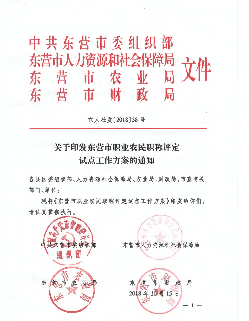中共东营市委组织部 东营市人力资源和社会保障局 东营市农业局文件 东营市财政局

东人社发[2018]38号

# 关于印发东营市职业农民职称评定 试点工作方案的通知

各县区委组织部、人力资源社会保障局、农业局、财政局,市直有关 部门、单位:

现将《东营市职业农民职称评定试点工作方案》印发给你们, 请认真贯彻执行。

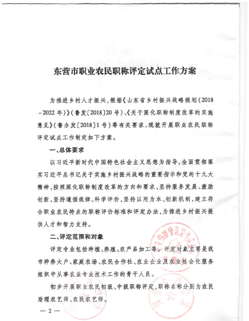# 东营市职业农民职称评定试点工作方案

为推进乡村人才振兴,根据《山东省乡村振兴战略规划(2018) - 2022 年)》(鲁发[2018] 20号)、《关于深化职称制度改革的实施 意见》(鲁办发[2018]1号)等有关要求, 现就开展职业农民职称 评定试点工作制定如下方案。

## **一、总体要求**

以习近平新时代中国特色社会主义思想为指导,全面贯彻落 实习近平总书记关于实施乡村振兴战略的重要指示和党的十九大 精神,按照深化职称制度改革的方向和要求,坚持服务发展、激励 创新,坚持遵循规律、科学评价,坚持以用为本、创新机制,建立符 合职业农民特点的职称评价标准和评定办法,为推进乡村振兴提 供人才和智力支持。

# 二、评定范**围和对象**

评定专业包括种植、养殖、农产品加工等。评定对象主要是我 市种养大户、家庭农场、农民合作社、农业企业及农业社会化服务 组织中从事农业专业技术工作的骨干人员。

初步开展职业农民初级、中级职称评定,职称名称分别为农民 **助理农艺师、农民农艺师。** 

 $-2-$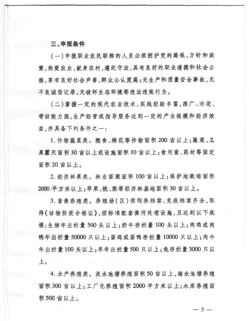# 三、申报条件

(一)申报职业农民职称的人员必须拥护党的路线、方针和政 策,热爱农业,献身农村,遵纪守法,具有良好的职业道德和社会公 德,享有良好社会声誉,群众公认度高;无生产和质量安全事故,无 不良诚信记录,无破坏生态环境等违法违规行为。

(二)掌握一定的现代农业技术,实践经验丰富,推广、示范、 带动能力强,生产经营或指导服务达到一定的产业规模和经济效 益,并具备下列条件之一:

1. 作物蔬菜类。粮食、棉花等作物面积 200 亩以上;蔬菜、瓜 果露天面积30亩以上或设施面积10亩以上;食用菌、药材等固定 面积20亩以上。

2. 经济林果类。林业苗圃面积100 亩以上:保护地栽培面积 2000 平方米以上;苹果、桃、梨等经济林基地面积30 亩以上。

3. 畜禽养殖类。养殖场(区)须饲养档案、免疫档案齐全,取 得《动物防疫合格证》,按标准配套粪污处理设施,且达到以下规 模:生猪年出栏量500头以上;奶牛存栏量100头以上;肉鸡或肉 鸭年出栏量50000只以上:蛋鸡或蛋鸭存栏量10000只以上;肉牛 年出栏量100头以上;羊年出栏量500只以上;兔存栏量3000只以  $\pm$ 

4. 水产养殖类。淡水池塘养殖面积50亩以上,海水池塘养殖 面积300亩以上;工厂化养殖面积2000平方米以上;水库养殖面 积500亩以上。

 $-3-$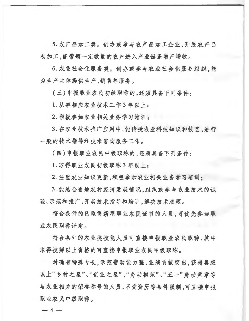5. 农产品加工类。创办或参与农产品加工企业,开展农产品 初加工,能带领一定数量的农户进入产业链条增产增收。

6. 农业社会化服务类。创办或参与农业社会化服务组织,能 为生产主体提供生产、销售等服务。

(三)申报职业农民初级职称的,还须具备下列条件:

1. 从事相应农业技术工作3年以上:

2. 积极参加农业相关业务学习培训:

3. 在农业技术推广应用中,能传授农业科技知识和技艺,进行 一般的技术指导和技术咨询服务工作。

(四)申报职业农民中级职称的,还须具备下列条件:

1. 取得职业农民初级职称3年以上:

2. 注重农业知识更新,积极参加农业相关业务学习培训:

3. 能结合当地农村经济发展情况,组织或参与农业技术的试 验、示范和推广,开展技术指导和培训,解决技术难题。

符合条件的已取得新型职业农民证书的人员,可优先参加职 业农民职称评定。

符合条件的农业类技能人员可直接申报职业农民职称,其中 取得技师以上资格的可直接申报职业农民中级职称。

对确有特殊专长,示范带动能力强,业绩贡献突出,获得县级 以上"乡村之星"、"创业之星"、"劳动模范"、"五一"劳动奖章等 与农业相关的荣誉称号的人员,不受资历等条件限制,可直接申报 职业农民中级职称。

 $-4-$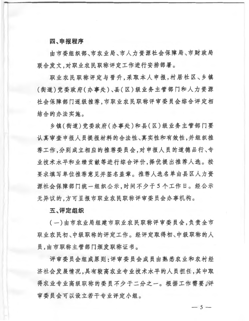# 四、申报程序

由市委组织部、市农业局、市人力资源社会保障局、市财政局 联合发文,对职业农民职称评定工作进行安排部署。

职业农民职称评定与晋升,采取本人申报,村居社区、乡镇 (街道)党委政府(办事处)、县(区)级业务主管部门和人力资源 社会保障部门逐级推荐,市职业农民职称评审委员会综合评定相 结合的办法实施。

乡镇(街道)党委政府(办事处)和县(区)级业务主管部门要 认真审查申报人员提报材料的合法性、真实性和有效性,并组织推 荐工作,分别成立相应的推荐委员会,对申报人员的道德品行、专 业技术水平和业绩贡献等进行综合评价,择优提出推荐人选。按 要求填写单位推荐意见并签名盖章。推荐人选名单由县区人力资 源社会保障部门统一组织公示,时间不少于5个工作日。经公示 无异议的,方可呈报市职业农民职称评审委员会办事机构。

#### 五、评定组织

(一)由市农业局组建市职业农民职称评审委员会,负责全市 职业农民初、中级职称的评定工作。经评定取得初、中级职称的人 员,由市职称主管部门颁发职称证书。

评审委员会组成原则:评审委员会成员由熟悉农业和农村经 济社会发展情况,具有较高农业专业技术水平的人员担任,其中取 得农业专业高级职称的委员不少于二分之一。根据工作需要。评 审委员会可以设立若干专业评定小组。

 $-5-$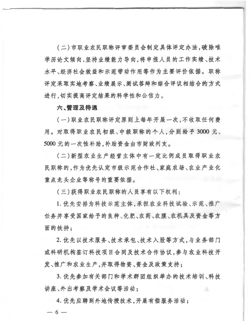(二)市职业农民职称评审委员会制定具体评定办法,破除唯 学历论文倾向,坚持业绩能力导向,将申报人员的工作实绩、技术 水平、经济社会效益和示范带动作用等作为主要评价依据。职称 评定采取实地考察、业绩展示、测试答辩和综合评议相结合的方式 进行,切实提高评定结果的科学性和公信力。

# 六、管理及待遇

(一) 职业农民职称评定原则上每年开展一次,不收取任何费 用。对取得职业农民初级、中级职称的个人,分别给予3000元、 5000元的一次性补助,补助资金由市财政列支。

(二)新型农业生产经营主体中有一定比例成员取得职业农 民职称的,作为优先认定市级示范合作社、家庭农场、农业产业化 重点龙头企业等称号的重要依据。

(三)获得职业农民职称的人员享有以下权利:

1. 优先安排为科技示范主体,承担农业科技试验、示范、推广 任务并享受国家给予的良种、化肥、农药、农膜、农机具及资金等方 面的扶持:

2. 优先以技术服务、技术承包、技术入股等方式,与业务部门 或科研机构签订科技项目合同及技术合作协议,参与农业科技开 发、推广和农业生产,并取得物资、资金及政策支持;

3. 优先参加有关部门和学术群团组织举办的技术培训、科技 讲座、外出考察及学术会议等活动:

4. 优先应聘到外地传授技术,开展有偿服务活动;  $-6-$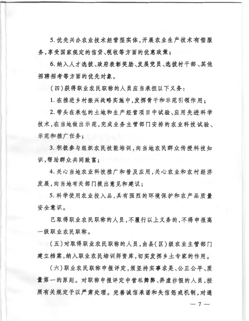5. 优先兴办农业技术经营型实体,开展农业生产技术有偿服 务,享受国家规定的信贷、税收等方面的优惠政策:

6. 纳入人才选拔、政府表彰奖励、发展党员、选拔村干部、其他 招聘招考等方面的优先对象。

(四)获得职业农民职称的人员应当承担以下义务:

1. 在推进乡村振兴战略实施中,发挥骨干和示范引领作用:

2. 带头在承包的土地和生产经营项目中试验、应用先进科学 技术,在当地做出示范,完成业务主管部门安排的农业科技试验、 示范和推广任务:

3. 积极参与组织农民技能培训, 向当地农民群众传授科技知 识,帮助群众共同致富:

4. 关心当地农业科技推广和普及应用,关心农业和农村经济 发展,向当地有关部门提出意见和建议:

5. 科学使用农业投入品, 具有强烈的环境保护和农产品质量 安全意识。

已取得职业农民职称的人员,不履行以上义务的,不得申报高 一级职业农民职称。

(五)对取得职业农民职称的人员,由县(区)级农业主管部门 建立档案,纳入职业农民培训师资库,切实发挥乡土专家的作用。

(六)职业农民职称申报评定,须坚持实事求是、公正公平、质 量第一的原则。对职称申报评定中营私舞弊、弄虚作假的人员,按 照有关规定予以严肃处理。完善诚信承诺和失信惩戒机制、对通

 $-7 -$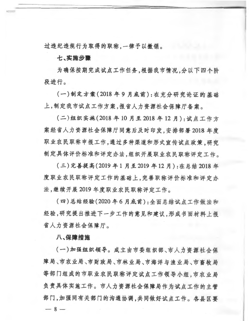过违纪违规行为取得的职称, 一律予以撤销。

## 七、实施步骤

为确保按期完成试点工作任务,根据我市情况,分以下四个阶 段进行。

(一)制定方案(2018年9月底前):在充分研究论证的基础 上, 制定我市试点工作方案, 报省人力资源社会保障厅备案。

(二)组织实施(2018年10月至2018年12月):试点工作方 案经省人力资源社会保障厅同意后及时印发,安排部署 2018 年度 职业农民职称申报工作,通过多种渠道和形式宣传试点政策,研究 制定具体评价标准和评定办法,组织开展职业农民职称评定工作。

(三)完善提高(2019 年1月至2019 年12 月) :在总结 2018 年 度职业农民职称评定工作的基础上,完善职称评价标准和评定办 法,继续开展 2019 年度职业农民职称评定工作。

(四) 总结经验(2020年6月底前): 全面总结试点工作做法和 经验, 研究提出推进下一步工作的意见和建议, 形成书面材料上报 省人力资源社会保障厅。

八、保障措施

(一)加强组织领导。成立由市委组织部、市人力资源社会保 障局、市农业局、市财政局、市林业局、市海洋与渔业局、市畜牧局 等部门组成的市职业农民职称评定试点工作领导小组,市农业局 负责具体实施工作。市人力资源社会保障局作为试点工作的主管 部门, 加强同有关部门的沟通协调, 共同做好试点工作。各县区要  $-8-$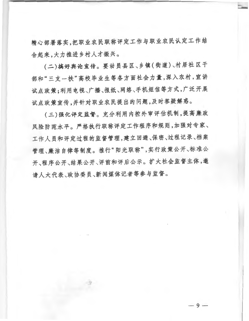精心部署落实,把职业农民职称评定工作与职业农民认定工作结 合起来,大力推进乡村人才振兴。

(二)搞好典论宣传。要动员县区、乡镇(街道)、村居社区干 部和"三支一扶"高校毕业生等各方面社会力量,深入农村,宣讲 试点政策;利用电视、广播、报纸、网络、手机短信等方式,广泛开展 试点政策宣传,并针对职业农民提出的问题,及时答疑解惑。

(三)强化评定监督。充分利用内控外审评估机制,提高廉政 风险防范水平。严格执行职称评定工作程序和规则,加强对专家、 工作人员和评定过程的监督管理,建立回避、保密、过程记录、档案 管理、廉洁自律等制度。推行"阳光职称",实行政策公开、标准公 开、程序公开、结果公开、评前和评后公示。扩大社会监督主体,邀 请人大代表、政协委员、新闻媒体记者等参与监督。